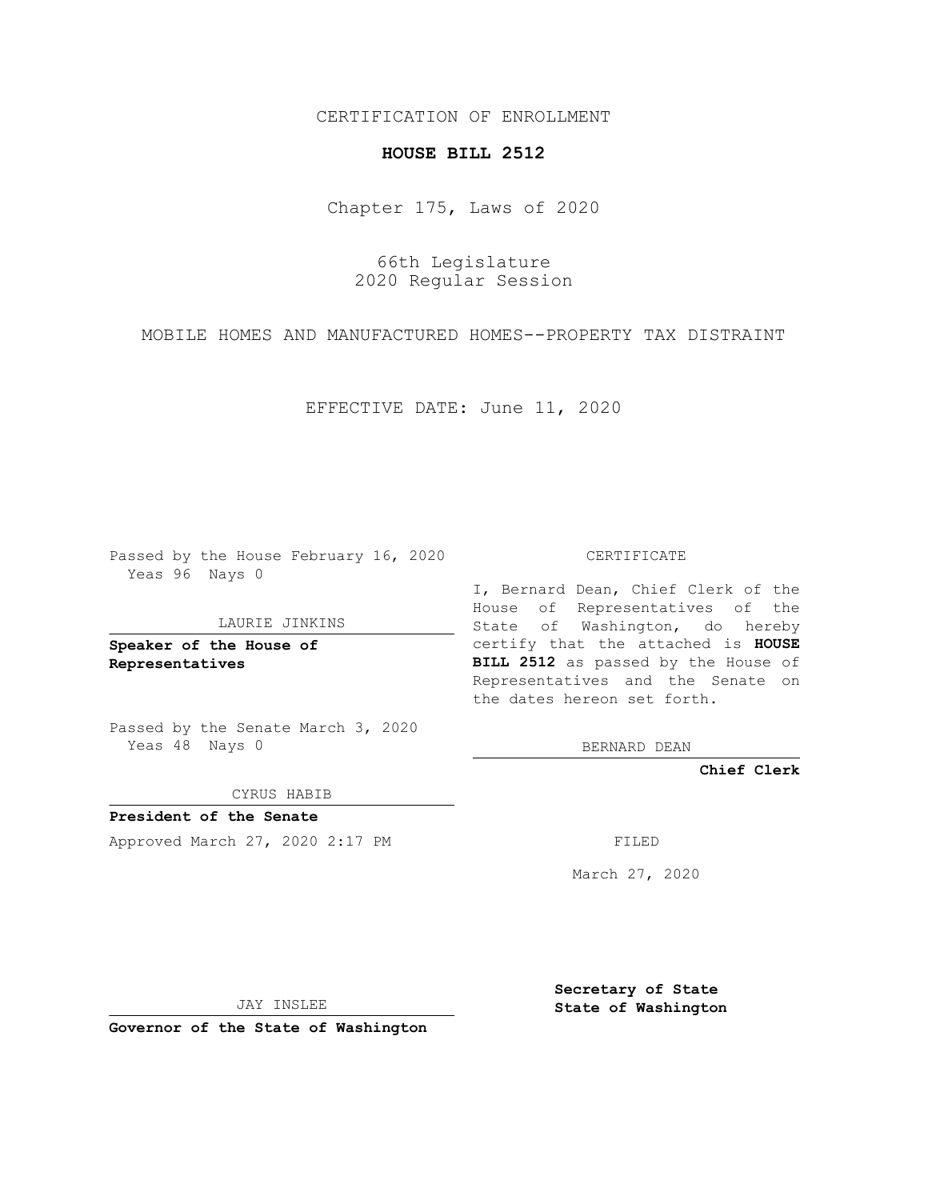## CERTIFICATION OF ENROLLMENT

## **HOUSE BILL 2512**

Chapter 175, Laws of 2020

66th Legislature 2020 Regular Session

MOBILE HOMES AND MANUFACTURED HOMES--PROPERTY TAX DISTRAINT

EFFECTIVE DATE: June 11, 2020

Passed by the House February 16, 2020 Yeas 96 Nays 0

## LAURIE JINKINS

**Speaker of the House of Representatives**

Passed by the Senate March 3, 2020 Yeas 48 Nays 0

CYRUS HABIB

**President of the Senate** Approved March 27, 2020 2:17 PM FILED

CERTIFICATE

I, Bernard Dean, Chief Clerk of the House of Representatives of the State of Washington, do hereby certify that the attached is **HOUSE BILL 2512** as passed by the House of Representatives and the Senate on the dates hereon set forth.

BERNARD DEAN

**Chief Clerk**

March 27, 2020

JAY INSLEE

**Governor of the State of Washington**

**Secretary of State State of Washington**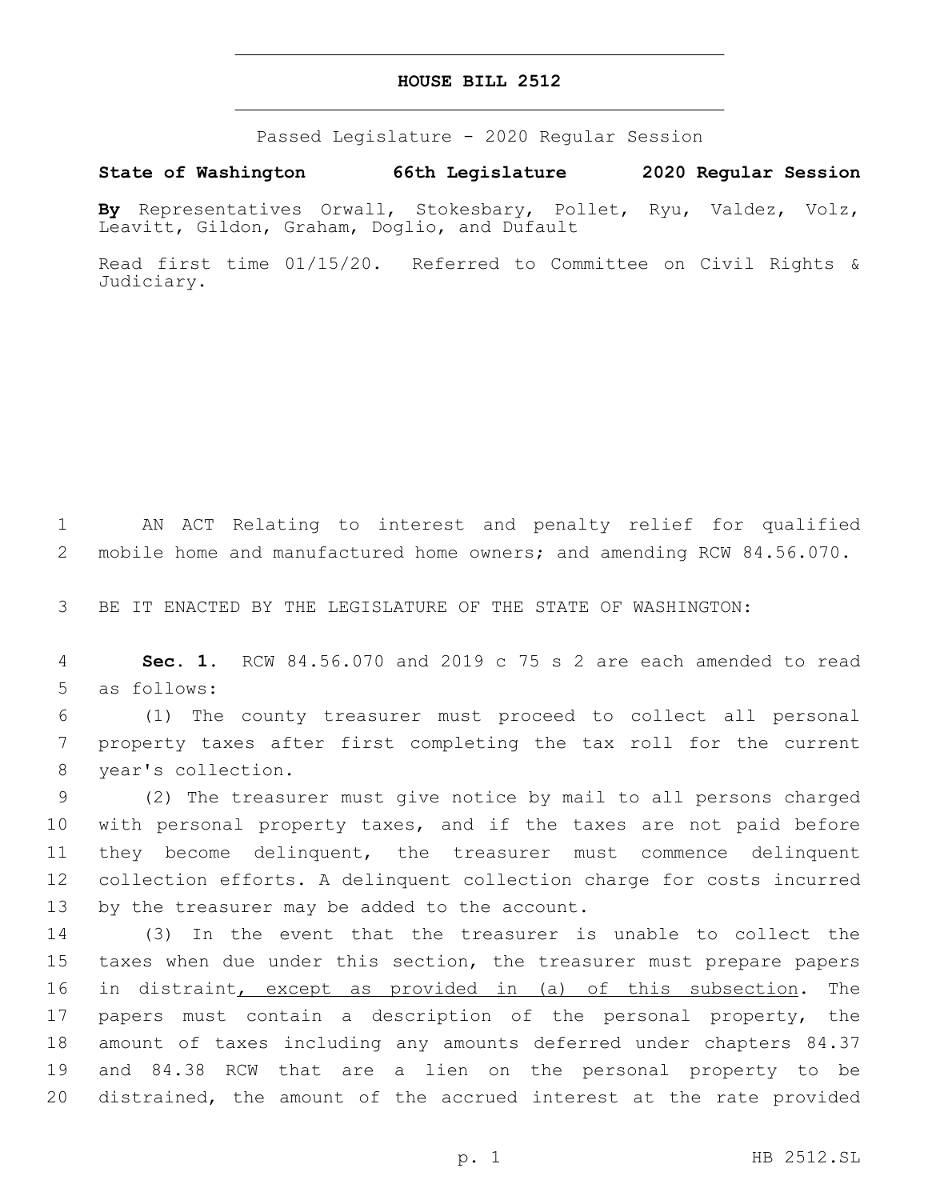## **HOUSE BILL 2512**

Passed Legislature - 2020 Regular Session

**State of Washington 66th Legislature 2020 Regular Session**

**By** Representatives Orwall, Stokesbary, Pollet, Ryu, Valdez, Volz, Leavitt, Gildon, Graham, Doglio, and Dufault

Read first time 01/15/20. Referred to Committee on Civil Rights & Judiciary.

1 AN ACT Relating to interest and penalty relief for qualified 2 mobile home and manufactured home owners; and amending RCW 84.56.070.

3 BE IT ENACTED BY THE LEGISLATURE OF THE STATE OF WASHINGTON:

4 **Sec. 1.** RCW 84.56.070 and 2019 c 75 s 2 are each amended to read 5 as follows:

6 (1) The county treasurer must proceed to collect all personal 7 property taxes after first completing the tax roll for the current 8 year's collection.

 (2) The treasurer must give notice by mail to all persons charged with personal property taxes, and if the taxes are not paid before they become delinquent, the treasurer must commence delinquent collection efforts. A delinquent collection charge for costs incurred 13 by the treasurer may be added to the account.

 (3) In the event that the treasurer is unable to collect the taxes when due under this section, the treasurer must prepare papers 16 in distraint, except as provided in (a) of this subsection. The papers must contain a description of the personal property, the amount of taxes including any amounts deferred under chapters 84.37 and 84.38 RCW that are a lien on the personal property to be distrained, the amount of the accrued interest at the rate provided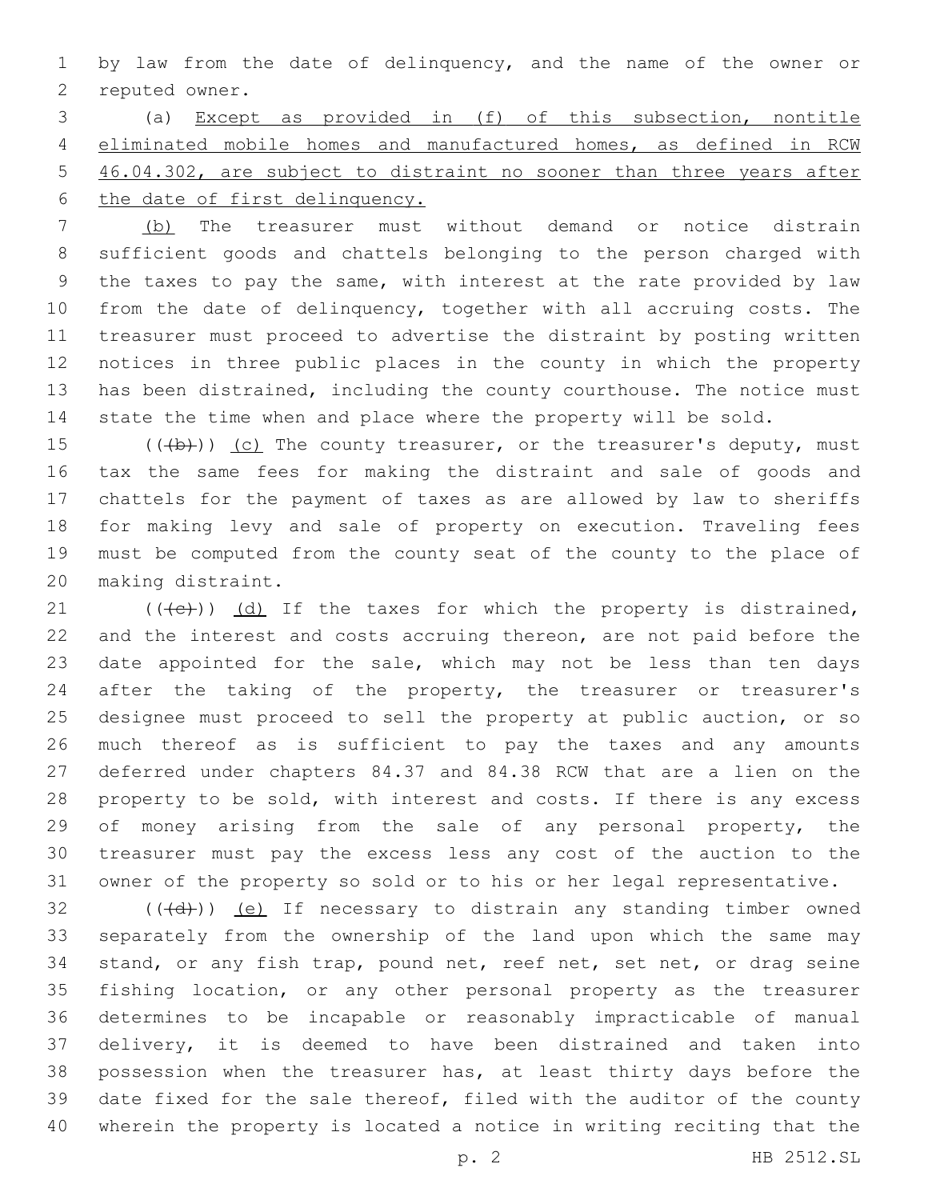by law from the date of delinquency, and the name of the owner or 2 reputed owner.

 (a) Except as provided in (f) of this subsection, nontitle eliminated mobile homes and manufactured homes, as defined in RCW 46.04.302, are subject to distraint no sooner than three years after the date of first delinquency.

 (b) The treasurer must without demand or notice distrain sufficient goods and chattels belonging to the person charged with the taxes to pay the same, with interest at the rate provided by law from the date of delinquency, together with all accruing costs. The treasurer must proceed to advertise the distraint by posting written notices in three public places in the county in which the property has been distrained, including the county courthouse. The notice must state the time when and place where the property will be sold.

 $((+b))$  (c) The county treasurer, or the treasurer's deputy, must tax the same fees for making the distraint and sale of goods and chattels for the payment of taxes as are allowed by law to sheriffs for making levy and sale of property on execution. Traveling fees must be computed from the county seat of the county to the place of 20 making distraint.

 $(1)$  (((e))) (d) If the taxes for which the property is distrained, and the interest and costs accruing thereon, are not paid before the 23 date appointed for the sale, which may not be less than ten days after the taking of the property, the treasurer or treasurer's designee must proceed to sell the property at public auction, or so much thereof as is sufficient to pay the taxes and any amounts deferred under chapters 84.37 and 84.38 RCW that are a lien on the property to be sold, with interest and costs. If there is any excess 29 of money arising from the sale of any personal property, the treasurer must pay the excess less any cost of the auction to the owner of the property so sold or to his or her legal representative.

 (( $\left(\frac{1}{d} \right)$ ) (e) If necessary to distrain any standing timber owned separately from the ownership of the land upon which the same may stand, or any fish trap, pound net, reef net, set net, or drag seine fishing location, or any other personal property as the treasurer determines to be incapable or reasonably impracticable of manual delivery, it is deemed to have been distrained and taken into possession when the treasurer has, at least thirty days before the date fixed for the sale thereof, filed with the auditor of the county wherein the property is located a notice in writing reciting that the